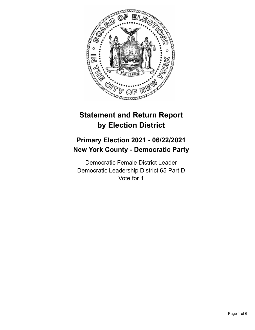

# **Statement and Return Report by Election District**

## **Primary Election 2021 - 06/22/2021 New York County - Democratic Party**

Democratic Female District Leader Democratic Leadership District 65 Part D Vote for 1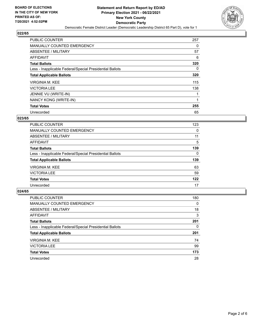

| <b>PUBLIC COUNTER</b>                                    | 257 |
|----------------------------------------------------------|-----|
| <b>MANUALLY COUNTED EMERGENCY</b>                        | 0   |
| ABSENTEE / MILITARY                                      | 57  |
| <b>AFFIDAVIT</b>                                         | 6   |
| <b>Total Ballots</b>                                     | 320 |
| Less - Inapplicable Federal/Special Presidential Ballots | 0   |
| <b>Total Applicable Ballots</b>                          | 320 |
| <b>VIRGINIA M. KEE</b>                                   | 115 |
| <b>VICTORIA LEE</b>                                      | 138 |
| JENNIE VU (WRITE-IN)                                     |     |
| NANCY KONG (WRITE-IN)                                    |     |
| <b>Total Votes</b>                                       | 255 |
| Unrecorded                                               | 65  |

## **023/65**

| <b>PUBLIC COUNTER</b>                                    | 123      |
|----------------------------------------------------------|----------|
| <b>MANUALLY COUNTED EMERGENCY</b>                        | 0        |
| ABSENTEE / MILITARY                                      | 11       |
| AFFIDAVIT                                                | 5        |
| <b>Total Ballots</b>                                     | 139      |
| Less - Inapplicable Federal/Special Presidential Ballots | $\Omega$ |
| <b>Total Applicable Ballots</b>                          | 139      |
| VIRGINIA M. KEE                                          | 63       |
| <b>VICTORIA LEE</b>                                      | 59       |
| <b>Total Votes</b>                                       | 122      |
| Unrecorded                                               | 17       |

| <b>PUBLIC COUNTER</b>                                    | 180      |
|----------------------------------------------------------|----------|
| <b>MANUALLY COUNTED EMERGENCY</b>                        | $\Omega$ |
| ABSENTEE / MILITARY                                      | 18       |
| AFFIDAVIT                                                | 3        |
| <b>Total Ballots</b>                                     | 201      |
| Less - Inapplicable Federal/Special Presidential Ballots | 0        |
| <b>Total Applicable Ballots</b>                          | 201      |
| <b>VIRGINIA M. KEE</b>                                   | 74       |
| <b>VICTORIA LEE</b>                                      | 99       |
| <b>Total Votes</b>                                       | 173      |
| Unrecorded                                               | 28       |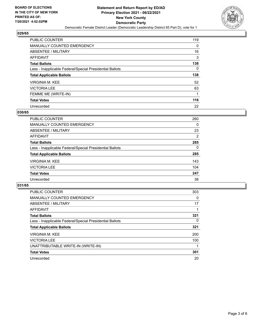

| <b>PUBLIC COUNTER</b>                                    | 119 |
|----------------------------------------------------------|-----|
| <b>MANUALLY COUNTED EMERGENCY</b>                        | 0   |
| ABSENTEE / MILITARY                                      | 16  |
| AFFIDAVIT                                                | 3   |
| <b>Total Ballots</b>                                     | 138 |
| Less - Inapplicable Federal/Special Presidential Ballots | 0   |
| <b>Total Applicable Ballots</b>                          | 138 |
| <b>VIRGINIA M. KEE</b>                                   | 52  |
| <b>VICTORIA LEE</b>                                      | 63  |
| FEMME ME (WRITE-IN)                                      | 1   |
| <b>Total Votes</b>                                       | 116 |
| Unrecorded                                               | 22  |

#### **030/65**

| PUBLIC COUNTER                                           | 260      |
|----------------------------------------------------------|----------|
| <b>MANUALLY COUNTED EMERGENCY</b>                        | $\Omega$ |
| ABSENTEE / MILITARY                                      | 23       |
| AFFIDAVIT                                                | 2        |
| <b>Total Ballots</b>                                     | 285      |
| Less - Inapplicable Federal/Special Presidential Ballots | $\Omega$ |
| <b>Total Applicable Ballots</b>                          | 285      |
| <b>VIRGINIA M. KEE</b>                                   | 143      |
| <b>VICTORIA LEE</b>                                      | 104      |
| <b>Total Votes</b>                                       | 247      |
| Unrecorded                                               | 38       |

| <b>PUBLIC COUNTER</b>                                    | 303      |
|----------------------------------------------------------|----------|
| <b>MANUALLY COUNTED EMERGENCY</b>                        | 0        |
| ABSENTEE / MILITARY                                      | 17       |
| AFFIDAVIT                                                |          |
| <b>Total Ballots</b>                                     | 321      |
| Less - Inapplicable Federal/Special Presidential Ballots | $\Omega$ |
| <b>Total Applicable Ballots</b>                          | 321      |
| <b>VIRGINIA M. KEE</b>                                   | 200      |
| <b>VICTORIA LEE</b>                                      | 100      |
| UNATTRIBUTABLE WRITE-IN (WRITE-IN)                       |          |
| <b>Total Votes</b>                                       | 301      |
| Unrecorded                                               | 20       |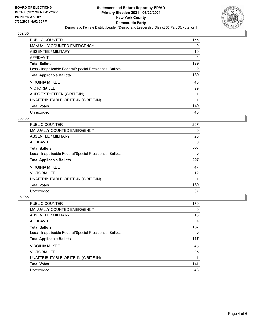

| PUBLIC COUNTER                                           | 175 |
|----------------------------------------------------------|-----|
| MANUALLY COUNTED EMERGENCY                               | 0   |
| ABSENTEE / MILITARY                                      | 10  |
| <b>AFFIDAVIT</b>                                         | 4   |
| <b>Total Ballots</b>                                     | 189 |
| Less - Inapplicable Federal/Special Presidential Ballots | 0   |
| <b>Total Applicable Ballots</b>                          | 189 |
| VIRGINIA M. KEE                                          | 48  |
| <b>VICTORIA LEE</b>                                      | 99  |
| AUDREY THEFFEN (WRITE-IN)                                |     |
| UNATTRIBUTABLE WRITE-IN (WRITE-IN)                       | 1   |
| <b>Total Votes</b>                                       | 149 |
| Unrecorded                                               | 40  |

## **058/65**

| <b>PUBLIC COUNTER</b>                                    | 207 |
|----------------------------------------------------------|-----|
| <b>MANUALLY COUNTED EMERGENCY</b>                        | 0   |
| ABSENTEE / MILITARY                                      | 20  |
| AFFIDAVIT                                                | 0   |
| <b>Total Ballots</b>                                     | 227 |
| Less - Inapplicable Federal/Special Presidential Ballots | 0   |
| <b>Total Applicable Ballots</b>                          | 227 |
| VIRGINIA M. KEE                                          | 47  |
| <b>VICTORIA LEE</b>                                      | 112 |
| UNATTRIBUTABLE WRITE-IN (WRITE-IN)                       |     |
| <b>Total Votes</b>                                       | 160 |
| Unrecorded                                               | 67  |

| <b>PUBLIC COUNTER</b>                                    | 170 |
|----------------------------------------------------------|-----|
| <b>MANUALLY COUNTED EMERGENCY</b>                        | 0   |
| ABSENTEE / MILITARY                                      | 13  |
| AFFIDAVIT                                                | 4   |
| <b>Total Ballots</b>                                     | 187 |
| Less - Inapplicable Federal/Special Presidential Ballots | 0   |
| <b>Total Applicable Ballots</b>                          | 187 |
| <b>VIRGINIA M. KEE</b>                                   | 45  |
| <b>VICTORIA LEE</b>                                      | 95  |
| UNATTRIBUTABLE WRITE-IN (WRITE-IN)                       | 1   |
|                                                          |     |
| <b>Total Votes</b>                                       | 141 |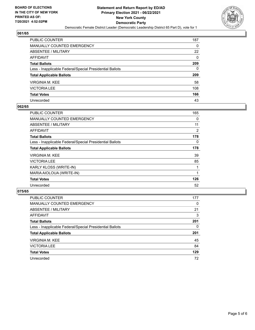

| PUBLIC COUNTER                                           | 187 |
|----------------------------------------------------------|-----|
| MANUALLY COUNTED EMERGENCY                               | 0   |
| ABSENTEE / MILITARY                                      | 22  |
| AFFIDAVIT                                                | 0   |
| Total Ballots                                            | 209 |
| Less - Inapplicable Federal/Special Presidential Ballots | 0   |
| <b>Total Applicable Ballots</b>                          | 209 |
| VIRGINIA M. KEE                                          | 58  |
| <b>VICTORIA LEE</b>                                      | 108 |
| <b>Total Votes</b>                                       | 166 |
| Unrecorded                                               | 43  |

#### **062/65**

| PUBLIC COUNTER                                           | 165 |
|----------------------------------------------------------|-----|
| <b>MANUALLY COUNTED EMERGENCY</b>                        | 0   |
| ABSENTEE / MILITARY                                      | 11  |
| <b>AFFIDAVIT</b>                                         | 2   |
| <b>Total Ballots</b>                                     | 178 |
| Less - Inapplicable Federal/Special Presidential Ballots | 0   |
| <b>Total Applicable Ballots</b>                          | 178 |
| VIRGINIA M. KEE                                          | 39  |
| <b>VICTORIA LEE</b>                                      | 85  |
| KARLY KLOSS (WRITE-IN)                                   |     |
| MARIA AIOLOUA (WRITE-IN)                                 |     |
| <b>Total Votes</b>                                       | 126 |
| Unrecorded                                               | 52  |

| <b>PUBLIC COUNTER</b>                                    | 177 |
|----------------------------------------------------------|-----|
| MANUALLY COUNTED EMERGENCY                               | 0   |
| ABSENTEE / MILITARY                                      | 21  |
| AFFIDAVIT                                                | 3   |
| <b>Total Ballots</b>                                     | 201 |
| Less - Inapplicable Federal/Special Presidential Ballots | 0   |
| <b>Total Applicable Ballots</b>                          | 201 |
| VIRGINIA M. KEE                                          | 45  |
| <b>VICTORIA LEE</b>                                      | 84  |
| <b>Total Votes</b>                                       | 129 |
| Unrecorded                                               | 72  |